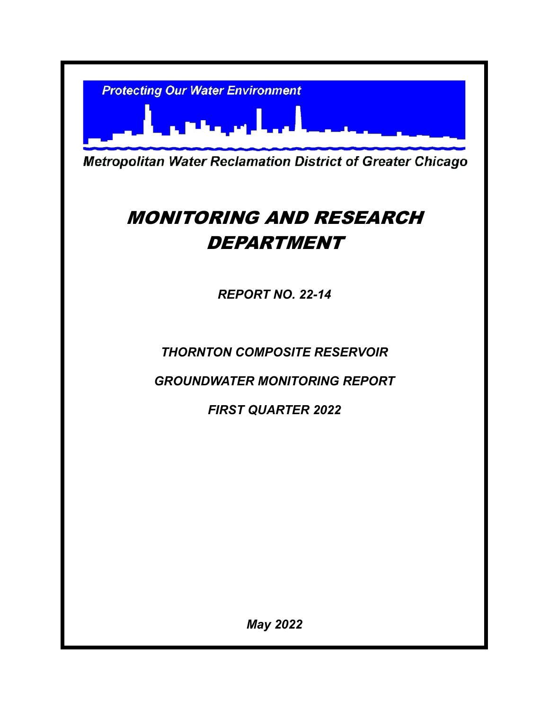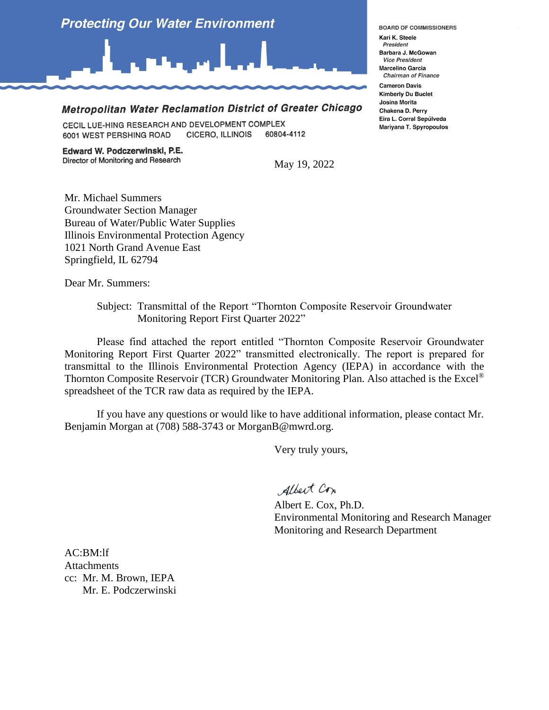

## Metropolitan Water Reclamation District of Greater Chicago

CECIL LUE-HING RESEARCH AND DEVELOPMENT COMPLEX CICERO, ILLINOIS 60804-4112 6001 WEST PERSHING ROAD

Edward W. Podczerwinski, P.E. Director of Monitoring and Research

May 19, 2022

Mr. Michael Summers Groundwater Section Manager Bureau of Water/Public Water Supplies Illinois Environmental Protection Agency 1021 North Grand Avenue East Springfield, IL 62794

Dear Mr. Summers:

Subject: Transmittal of the Report "Thornton Composite Reservoir Groundwater Monitoring Report First Quarter 2022"

Please find attached the report entitled "Thornton Composite Reservoir Groundwater Monitoring Report First Quarter 2022" transmitted electronically. The report is prepared for transmittal to the Illinois Environmental Protection Agency (IEPA) in accordance with the Thornton Composite Reservoir (TCR) Groundwater Monitoring Plan. Also attached is the Excel® spreadsheet of the TCR raw data as required by the IEPA.

If you have any questions or would like to have additional information, please contact Mr. Benjamin Morgan at (708) 588-3743 or MorganB@mwrd.org.

Very truly yours,

Albert Cox

Albert E. Cox, Ph.D. Environmental Monitoring and Research Manager Monitoring and Research Department

AC:BM:lf **Attachments** cc: Mr. M. Brown, IEPA Mr. E. Podczerwinski **BOARD OF COMMISSIONERS** 

Kari K. Steele President Barbara J. McGowan **Vice President Marcelino Garcia Chairman of Finance** 

**Cameron Davis Kimberly Du Buclet Josina Morita** Chakena D. Perry Eira L. Corral Sepúlveda Mariyana T. Spyropoulos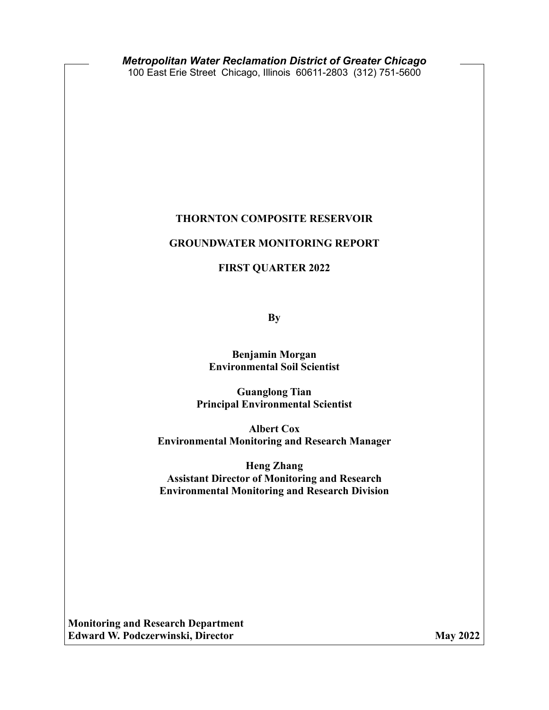#### **THORNTON COMPOSITE RESERVOIR**

#### **GROUNDWATER MONITORING REPORT**

**FIRST QUARTER 2022**

**By**

**Benjamin Morgan Environmental Soil Scientist** 

**Guanglong Tian Principal Environmental Scientist** 

**Albert Cox Environmental Monitoring and Research Manager** 

**Heng Zhang Assistant Director of Monitoring and Research Environmental Monitoring and Research Division**

**Monitoring and Research Department Edward W. Podczerwinski, Director May 2022**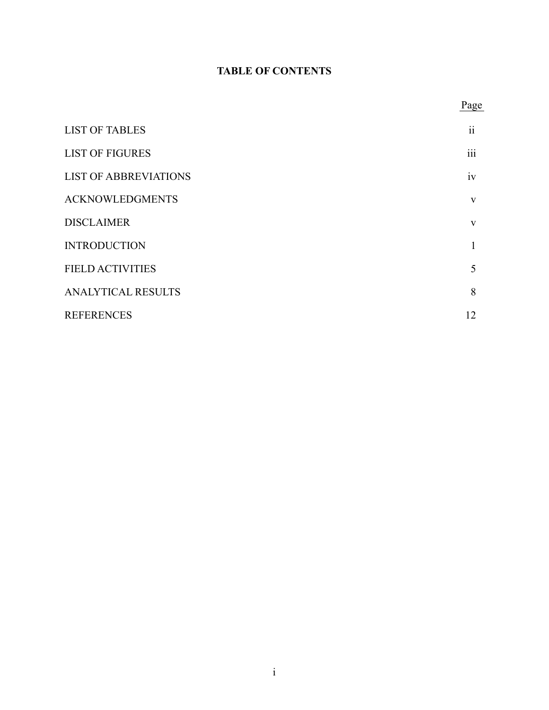# **TABLE OF CONTENTS**

       Page

| <b>LIST OF TABLES</b>        | $\ddot{\rm ii}$ |
|------------------------------|-----------------|
| <b>LIST OF FIGURES</b>       | iii             |
| <b>LIST OF ABBREVIATIONS</b> | iv              |
| <b>ACKNOWLEDGMENTS</b>       | $\mathbf{V}$    |
| <b>DISCLAIMER</b>            | V               |
| <b>INTRODUCTION</b>          | 1               |
| <b>FIELD ACTIVITIES</b>      | 5               |
| <b>ANALYTICAL RESULTS</b>    | 8               |
| <b>REFERENCES</b>            | 12              |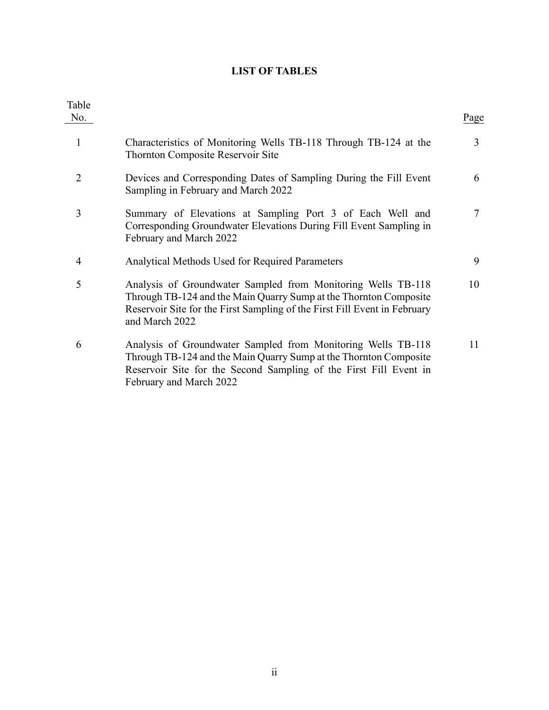# **LIST OF TABLES**

<span id="page-4-0"></span>

| Table<br>No.   |                                                                                                                                                                                                                                   | Page           |
|----------------|-----------------------------------------------------------------------------------------------------------------------------------------------------------------------------------------------------------------------------------|----------------|
| 1              | Characteristics of Monitoring Wells TB-118 Through TB-124 at the<br><b>Thornton Composite Reservoir Site</b>                                                                                                                      | 3              |
| $\overline{2}$ | Devices and Corresponding Dates of Sampling During the Fill Event<br>Sampling in February and March 2022                                                                                                                          | 6              |
| 3              | Summary of Elevations at Sampling Port 3 of Each Well and<br>Corresponding Groundwater Elevations During Fill Event Sampling in<br>February and March 2022                                                                        | $\overline{7}$ |
| 4              | Analytical Methods Used for Required Parameters                                                                                                                                                                                   | 9              |
| 5              | Analysis of Groundwater Sampled from Monitoring Wells TB-118<br>Through TB-124 and the Main Quarry Sump at the Thornton Composite<br>Reservoir Site for the First Sampling of the First Fill Event in February<br>and March 2022  | 10             |
| 6              | Analysis of Groundwater Sampled from Monitoring Wells TB-118<br>Through TB-124 and the Main Quarry Sump at the Thornton Composite<br>Reservoir Site for the Second Sampling of the First Fill Event in<br>February and March 2022 | 11             |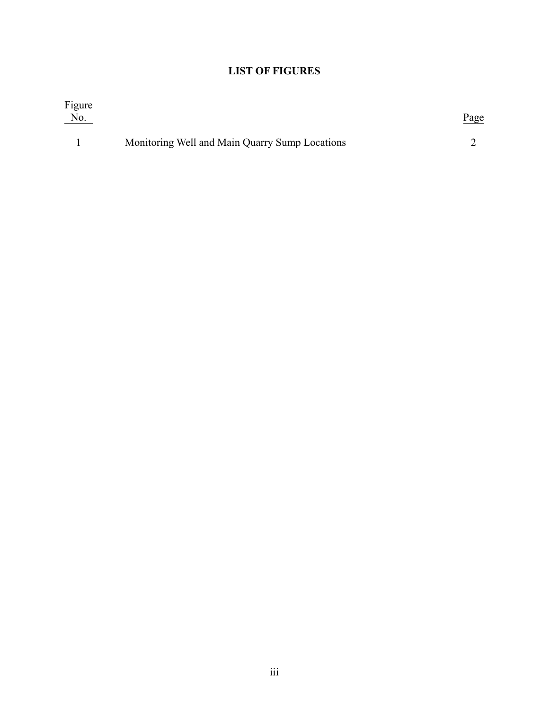# **LIST OF FIGURES**

<span id="page-5-0"></span>

| Figure<br>No. |                                                | <u>Page</u> |
|---------------|------------------------------------------------|-------------|
|               | Monitoring Well and Main Quarry Sump Locations |             |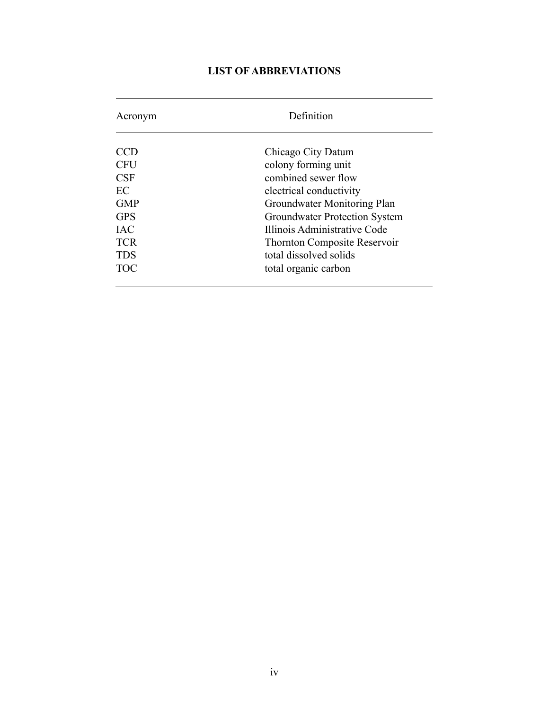# **LIST OF ABBREVIATIONS**

| Acronym    | Definition                           |  |  |  |  |  |  |  |
|------------|--------------------------------------|--|--|--|--|--|--|--|
| CCD        | Chicago City Datum                   |  |  |  |  |  |  |  |
| <b>CFU</b> | colony forming unit                  |  |  |  |  |  |  |  |
| CSF        | combined sewer flow                  |  |  |  |  |  |  |  |
| EC         | electrical conductivity              |  |  |  |  |  |  |  |
| <b>GMP</b> | Groundwater Monitoring Plan          |  |  |  |  |  |  |  |
| <b>GPS</b> | <b>Groundwater Protection System</b> |  |  |  |  |  |  |  |
| <b>IAC</b> | Illinois Administrative Code         |  |  |  |  |  |  |  |
| <b>TCR</b> | <b>Thornton Composite Reservoir</b>  |  |  |  |  |  |  |  |
| <b>TDS</b> | total dissolved solids               |  |  |  |  |  |  |  |
| <b>TOC</b> | total organic carbon                 |  |  |  |  |  |  |  |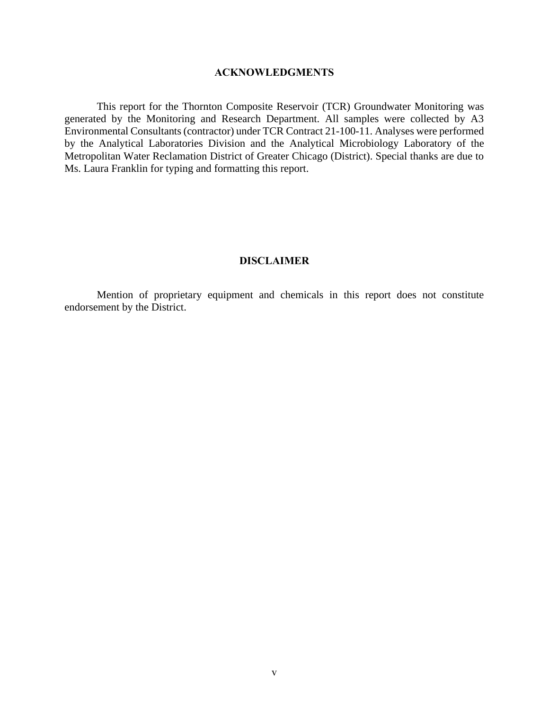#### **ACKNOWLEDGMENTS**

This report for the Thornton Composite Reservoir (TCR) Groundwater Monitoring was generated by the Monitoring and Research Department. All samples were collected by A3 Environmental Consultants (contractor) under TCR Contract 21-100-11. Analyses were performed by the Analytical Laboratories Division and the Analytical Microbiology Laboratory of the Metropolitan Water Reclamation District of Greater Chicago (District). Special thanks are due to Ms. Laura Franklin for typing and formatting this report.

#### **DISCLAIMER**

Mention of proprietary equipment and chemicals in this report does not constitute endorsement by the District.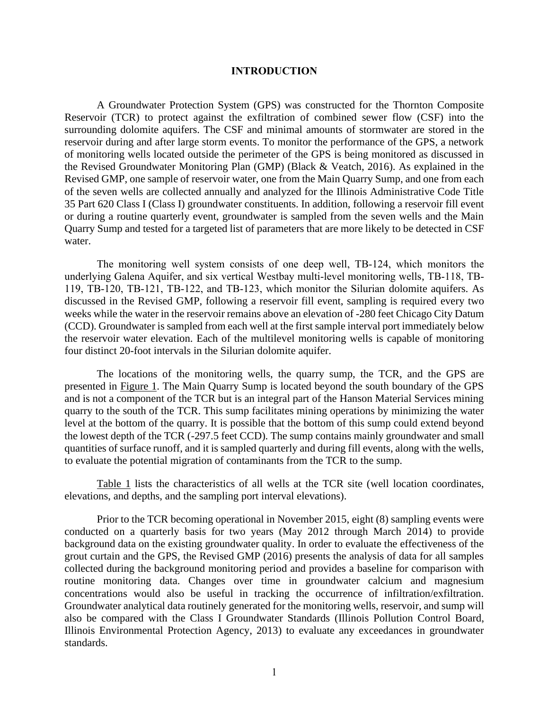#### **INTRODUCTION**

A Groundwater Protection System (GPS) was constructed for the Thornton Composite Reservoir (TCR) to protect against the exfiltration of combined sewer flow (CSF) into the surrounding dolomite aquifers. The CSF and minimal amounts of stormwater are stored in the reservoir during and after large storm events. To monitor the performance of the GPS, a network of monitoring wells located outside the perimeter of the GPS is being monitored as discussed in the Revised Groundwater Monitoring Plan (GMP) (Black & Veatch, 2016). As explained in the Revised GMP, one sample of reservoir water, one from the Main Quarry Sump, and one from each of the seven wells are collected annually and analyzed for the Illinois Administrative Code Title 35 Part 620 Class I (Class I) groundwater constituents. In addition, following a reservoir fill event or during a routine quarterly event, groundwater is sampled from the seven wells and the Main Quarry Sump and tested for a targeted list of parameters that are more likely to be detected in CSF water.

The monitoring well system consists of one deep well, TB‐124, which monitors the underlying Galena Aquifer, and six vertical Westbay multi-level monitoring wells, TB-118, TB-119, TB‐120, TB‐121, TB‐122, and TB‐123, which monitor the Silurian dolomite aquifers. As discussed in the Revised GMP, following a reservoir fill event, sampling is required every two weeks while the water in the reservoir remains above an elevation of -280 feet Chicago City Datum (CCD). Groundwater is sampled from each well at the first sample interval port immediately below the reservoir water elevation. Each of the multilevel monitoring wells is capable of monitoring four distinct 20-foot intervals in the Silurian dolomite aquifer.

The locations of the monitoring wells, the quarry sump, the TCR, and the GPS are presented in Figure 1. The Main Quarry Sump is located beyond the south boundary of the GPS and is not a component of the TCR but is an integral part of the Hanson Material Services mining quarry to the south of the TCR. This sump facilitates mining operations by minimizing the water level at the bottom of the quarry. It is possible that the bottom of this sump could extend beyond the lowest depth of the TCR (-297.5 feet CCD). The sump contains mainly groundwater and small quantities of surface runoff, and it is sampled quarterly and during fill events, along with the wells, to evaluate the potential migration of contaminants from the TCR to the sump.

Table 1 lists the characteristics of all wells at the TCR site (well location coordinates, elevations, and depths, and the sampling port interval elevations).

Prior to the TCR becoming operational in November 2015, eight (8) sampling events were conducted on a quarterly basis for two years (May 2012 through March 2014) to provide background data on the existing groundwater quality. In order to evaluate the effectiveness of the grout curtain and the GPS, the Revised GMP (2016) presents the analysis of data for all samples collected during the background monitoring period and provides a baseline for comparison with routine monitoring data. Changes over time in groundwater calcium and magnesium concentrations would also be useful in tracking the occurrence of infiltration/exfiltration. Groundwater analytical data routinely generated for the monitoring wells, reservoir, and sump will also be compared with the Class I Groundwater Standards (Illinois Pollution Control Board, Illinois Environmental Protection Agency, 2013) to evaluate any exceedances in groundwater standards.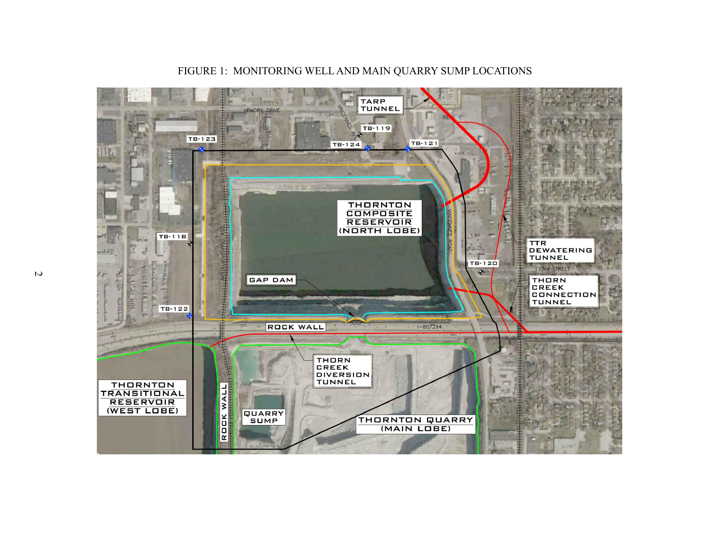

FIGURE 1: MONITORING WELL AND MAIN QUARRY SUMP LOCATIONS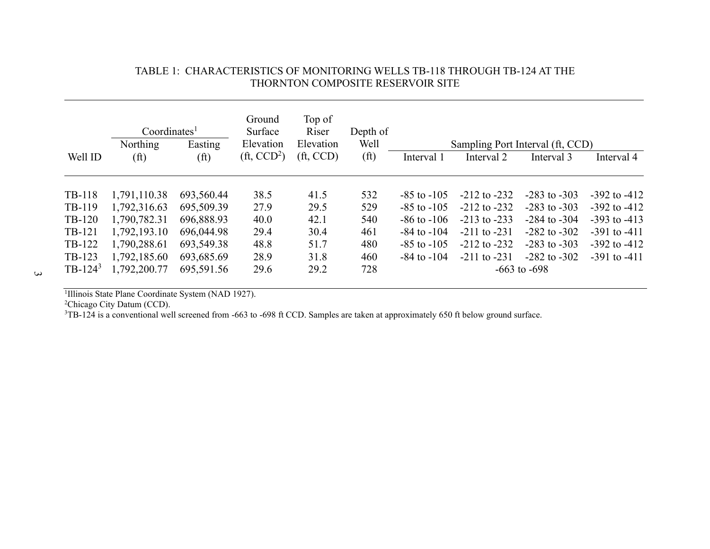|            | Coordinates <sup>1</sup> |                   | Ground<br>Surface           | Top of<br>Riser | Depth of          |                 |                                  |                  |                  |
|------------|--------------------------|-------------------|-----------------------------|-----------------|-------------------|-----------------|----------------------------------|------------------|------------------|
|            | Northing                 | Easting           | Elevation                   | Elevation       | Well              |                 | Sampling Port Interval (ft, CCD) |                  |                  |
| Well ID    | (f <sup>t</sup> )        | (f <sup>t</sup> ) | $(\text{ft}, \text{CCD}^2)$ | $(f_t, CCD)$    | (f <sup>t</sup> ) | Interval 1      | Interval 2                       | Interval 3       | Interval 4       |
| TB-118     | 1,791,110.38             | 693,560.44        | 38.5                        | 41.5            | 532               | $-85$ to $-105$ | $-212$ to $-232$                 | $-283$ to $-303$ | $-392$ to $-412$ |
| TB-119     | 1,792,316.63             | 695,509.39        | 27.9                        | 29.5            | 529               | $-85$ to $-105$ | $-212$ to $-232$                 | $-283$ to $-303$ | $-392$ to $-412$ |
| TB-120     | 1,790,782.31             | 696,888.93        | 40.0                        | 42.1            | 540               | $-86$ to $-106$ | $-213$ to $-233$                 | $-284$ to $-304$ | $-393$ to $-413$ |
| TB-121     | 1,792,193.10             | 696,044.98        | 29.4                        | 30.4            | 461               | $-84$ to $-104$ | $-211$ to $-231$                 | $-282$ to $-302$ | $-391$ to $-411$ |
| TB-122     | 1,790,288.61             | 693,549.38        | 48.8                        | 51.7            | 480               | $-85$ to $-105$ | $-212$ to $-232$                 | $-283$ to $-303$ | $-392$ to $-412$ |
| TB-123     | 1,792,185.60             | 693,685.69        | 28.9                        | 31.8            | 460               | $-84$ to $-104$ | $-211$ to $-231$                 | $-282$ to $-302$ | $-391$ to $-411$ |
| $TB-124^3$ | 1,792,200.77             | 695,591.56        | 29.6                        | 29.2            | 728               |                 |                                  | $-663$ to $-698$ |                  |

### TABLE 1: CHARACTERISTICS OF MONITORING WELLS TB-118 THROUGH TB-124 AT THE THORNTON COMPOSITE RESERVOIR SITE

<sup>1</sup>Illinois State Plane Coordinate System (NAD 1927).

<sup>2</sup>Chicago City Datum (CCD).

<sup>3</sup>TB-124 is a conventional well screened from -663 to -698 ft CCD. Samples are taken at approximately 650 ft below ground surface.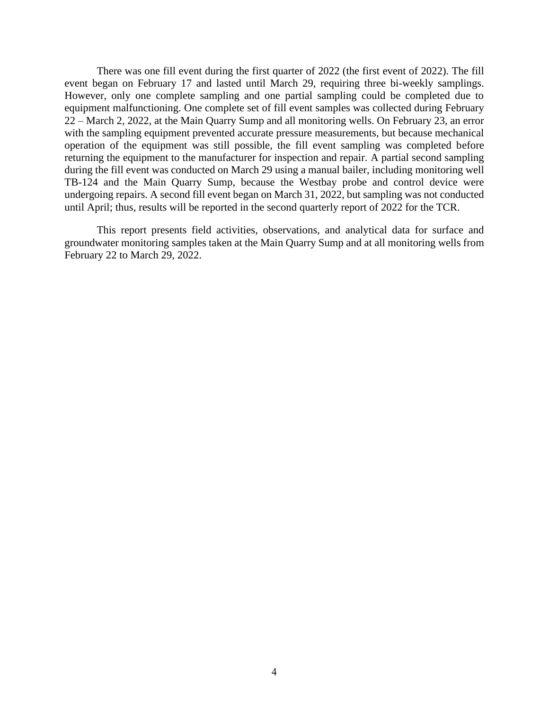There was one fill event during the first quarter of 2022 (the first event of 2022). The fill event began on February 17 and lasted until March 29, requiring three bi-weekly samplings. However, only one complete sampling and one partial sampling could be completed due to equipment malfunctioning. One complete set of fill event samples was collected during February 22 – March 2, 2022, at the Main Quarry Sump and all monitoring wells. On February 23, an error with the sampling equipment prevented accurate pressure measurements, but because mechanical operation of the equipment was still possible, the fill event sampling was completed before returning the equipment to the manufacturer for inspection and repair. A partial second sampling during the fill event was conducted on March 29 using a manual bailer, including monitoring well TB-124 and the Main Quarry Sump, because the Westbay probe and control device were undergoing repairs. A second fill event began on March 31, 2022, but sampling was not conducted until April; thus, results will be reported in the second quarterly report of 2022 for the TCR.

This report presents field activities, observations, and analytical data for surface and groundwater monitoring samples taken at the Main Quarry Sump and at all monitoring wells from February 22 to March 29, 2022.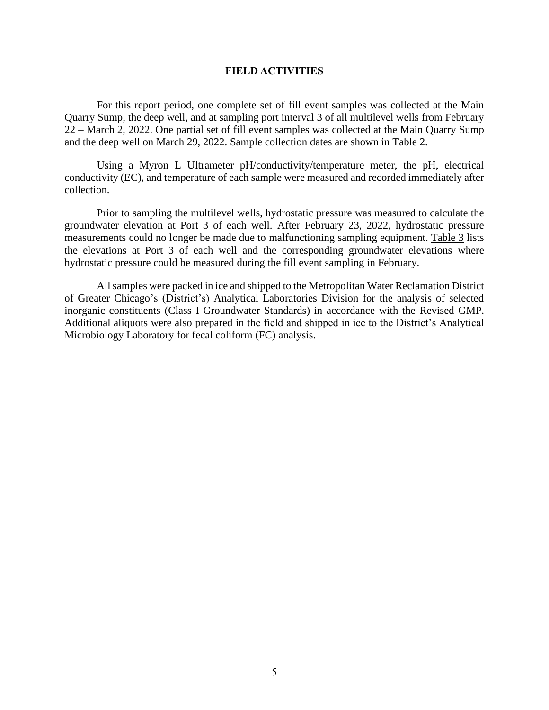#### **FIELD ACTIVITIES**

For this report period, one complete set of fill event samples was collected at the Main Quarry Sump, the deep well, and at sampling port interval 3 of all multilevel wells from February 22 – March 2, 2022. One partial set of fill event samples was collected at the Main Quarry Sump and the deep well on March 29, 2022. Sample collection dates are shown in Table 2.

Using a Myron L Ultrameter pH/conductivity/temperature meter, the pH, electrical conductivity (EC), and temperature of each sample were measured and recorded immediately after collection.

Prior to sampling the multilevel wells, hydrostatic pressure was measured to calculate the groundwater elevation at Port 3 of each well. After February 23, 2022, hydrostatic pressure measurements could no longer be made due to malfunctioning sampling equipment. Table 3 lists the elevations at Port 3 of each well and the corresponding groundwater elevations where hydrostatic pressure could be measured during the fill event sampling in February.

All samples were packed in ice and shipped to the Metropolitan Water Reclamation District of Greater Chicago's (District's) Analytical Laboratories Division for the analysis of selected inorganic constituents (Class I Groundwater Standards) in accordance with the Revised GMP. Additional aliquots were also prepared in the field and shipped in ice to the District's Analytical Microbiology Laboratory for fecal coliform (FC) analysis.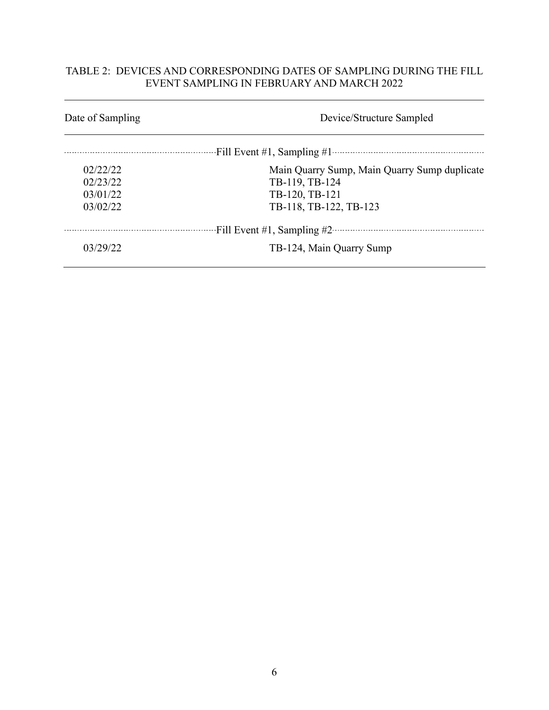## TABLE 2: DEVICES AND CORRESPONDING DATES OF SAMPLING DURING THE FILL EVENT SAMPLING IN FEBRUARY AND MARCH 2022

| Date of Sampling | Device/Structure Sampled                     |
|------------------|----------------------------------------------|
|                  |                                              |
| 02/22/22         | Main Quarry Sump, Main Quarry Sump duplicate |
| 02/23/22         | TB-119, TB-124                               |
| 03/01/22         | TB-120, TB-121                               |
| 03/02/22         | TB-118, TB-122, TB-123                       |
|                  | Fill Event #1, Sampling #2                   |
| 03/29/22         | TB-124, Main Quarry Sump                     |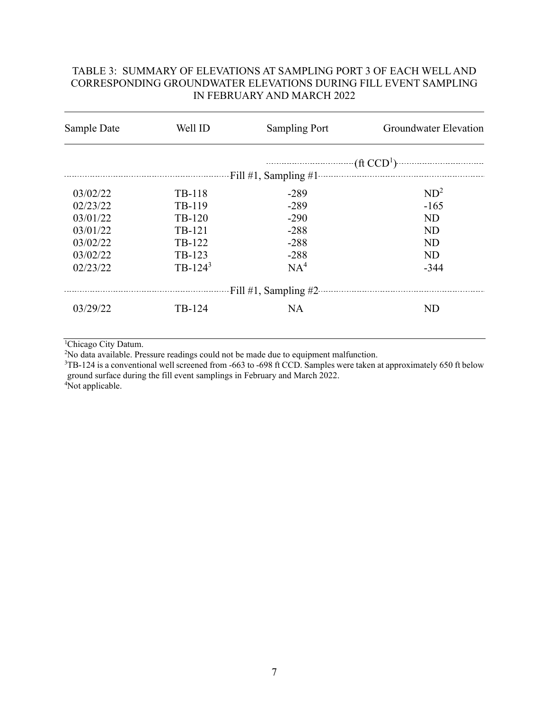## TABLE 3: SUMMARY OF ELEVATIONS AT SAMPLING PORT 3 OF EACH WELL AND CORRESPONDING GROUNDWATER ELEVATIONS DURING FILL EVENT SAMPLING IN FEBRUARY AND MARCH 2022

| Sample Date | Well ID    | <b>Sampling Port</b> | Groundwater Elevation |  |  |  |
|-------------|------------|----------------------|-----------------------|--|--|--|
|             |            |                      | $(\text{ft CCD}^1)$   |  |  |  |
|             |            |                      |                       |  |  |  |
| 03/02/22    | TB-118     | $-289$               | ND <sup>2</sup>       |  |  |  |
| 02/23/22    | TB-119     | $-289$               | $-165$                |  |  |  |
| 03/01/22    | TB-120     | $-290$               | <b>ND</b>             |  |  |  |
| 03/01/22    | TB-121     | $-288$               | <b>ND</b>             |  |  |  |
| 03/02/22    | TB-122     | $-288$               | <b>ND</b>             |  |  |  |
| 03/02/22    | TB-123     | $-288$               | <b>ND</b>             |  |  |  |
| 02/23/22    | $TB-124^3$ | NA <sup>4</sup>      | $-344$                |  |  |  |
|             |            |                      |                       |  |  |  |
| 03/29/22    | TB-124     | <b>NA</b>            | <b>ND</b>             |  |  |  |
|             |            |                      |                       |  |  |  |

<sup>1</sup>Chicago City Datum.

<sup>2</sup>No data available. Pressure readings could not be made due to equipment malfunction.

 $3TB-124$  is a conventional well screened from -663 to -698 ft CCD. Samples were taken at approximately 650 ft below ground surface during the fill event samplings in February and March 2022.

4Not applicable.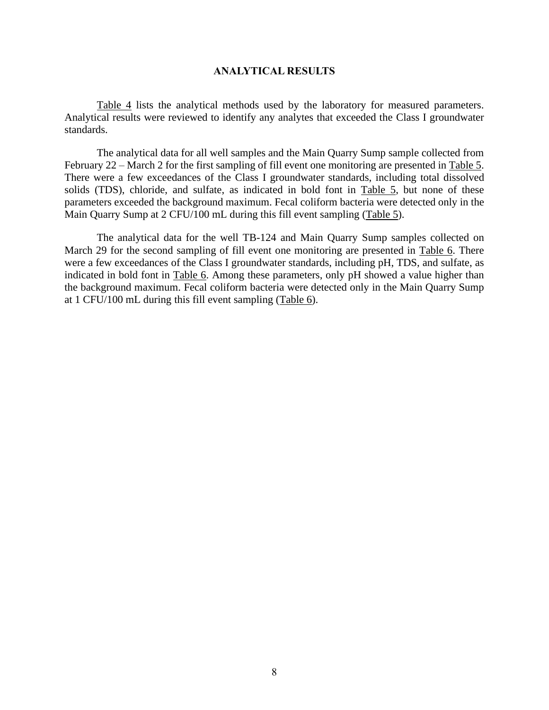#### **ANALYTICAL RESULTS**

Table 4 lists the analytical methods used by the laboratory for measured parameters. Analytical results were reviewed to identify any analytes that exceeded the Class I groundwater standards.

The analytical data for all well samples and the Main Quarry Sump sample collected from February 22 – March 2 for the first sampling of fill event one monitoring are presented in Table 5. There were a few exceedances of the Class I groundwater standards, including total dissolved solids (TDS), chloride, and sulfate, as indicated in bold font in Table 5, but none of these parameters exceeded the background maximum. Fecal coliform bacteria were detected only in the Main Quarry Sump at 2 CFU/100 mL during this fill event sampling (Table 5).

The analytical data for the well TB-124 and Main Quarry Sump samples collected on March 29 for the second sampling of fill event one monitoring are presented in Table 6. There were a few exceedances of the Class I groundwater standards, including pH, TDS, and sulfate, as indicated in bold font in Table 6. Among these parameters, only pH showed a value higher than the background maximum. Fecal coliform bacteria were detected only in the Main Quarry Sump at 1 CFU/100 mL during this fill event sampling (Table 6).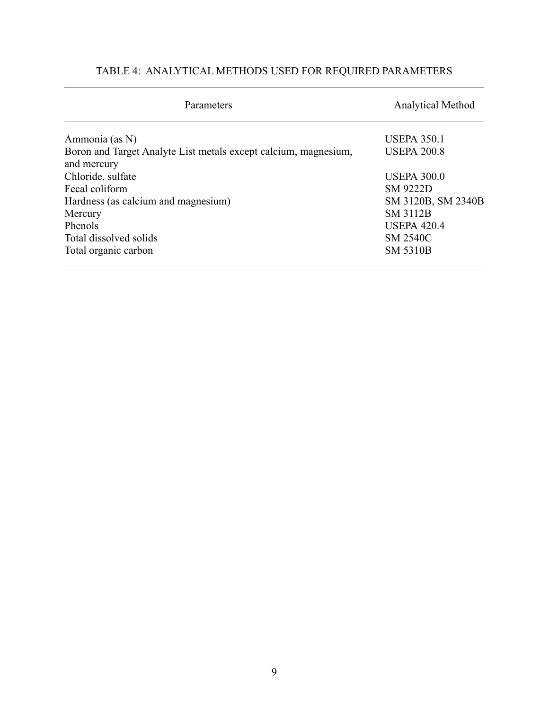# TABLE 4: ANALYTICAL METHODS USED FOR REQUIRED PARAMETERS

| Parameters                                                                     | <b>Analytical Method</b> |  |  |  |
|--------------------------------------------------------------------------------|--------------------------|--|--|--|
| Ammonia (as N)                                                                 | <b>USEPA 350.1</b>       |  |  |  |
| Boron and Target Analyte List metals except calcium, magnesium,<br>and mercury | <b>USEPA 200.8</b>       |  |  |  |
| Chloride, sulfate                                                              | <b>USEPA 300.0</b>       |  |  |  |
| Fecal coliform                                                                 | <b>SM 9222D</b>          |  |  |  |
| Hardness (as calcium and magnesium)                                            | SM 3120B, SM 2340B       |  |  |  |
| Mercury                                                                        | <b>SM 3112B</b>          |  |  |  |
| Phenols                                                                        | <b>USEPA 420.4</b>       |  |  |  |
| Total dissolved solids                                                         | <b>SM 2540C</b>          |  |  |  |
| Total organic carbon                                                           | <b>SM 5310B</b>          |  |  |  |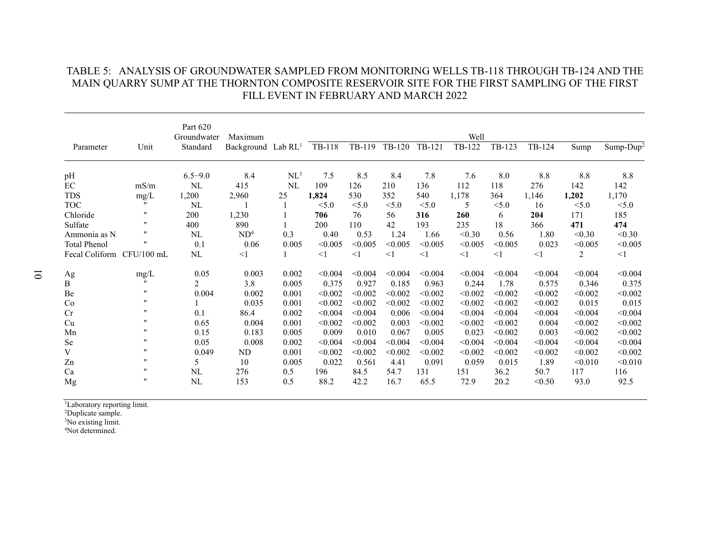|                           |                    | Part 620<br>Groundwater | Maximum                        |                 | Well     |          |          |         |          |         |          |         |               |  |
|---------------------------|--------------------|-------------------------|--------------------------------|-----------------|----------|----------|----------|---------|----------|---------|----------|---------|---------------|--|
| Parameter                 | Unit               | Standard                | Background Lab RL <sup>1</sup> |                 | TB-118   | TB-119   | TB-120   | TB-121  | TB-122   | TB-123  | TB-124   | Sump    | Sump- $Dup^2$ |  |
| pH                        |                    | $6.5 - 9.0$             | 8.4                            | NL <sup>3</sup> | 7.5      | 8.5      | 8.4      | 7.8     | 7.6      | 8.0     | 8.8      | 8.8     | 8.8           |  |
| $\rm EC$                  | mS/m               | NL                      | 415                            | NL              | 109      | 126      | 210      | 136     | 112      | 118     | 276      | 142     | 142           |  |
| <b>TDS</b>                | mg/L               | 1,200                   | 2,960                          | 25              | 1,824    | 530      | 352      | 540     | 1,178    | 364     | 1,146    | 1,202   | 1,170         |  |
| <b>TOC</b>                | 11                 | <b>NL</b>               |                                |                 | < 5.0    | < 5.0    | < 5.0    | < 5.0   | 5        | < 5.0   | 16       | < 5.0   | < 5.0         |  |
| Chloride                  | $^{\prime\prime}$  | 200                     | 1,230                          |                 | 706      | 76       | 56       | 316     | 260      | 6       | 204      | 171     | 185           |  |
| Sulfate                   | $^{\prime\prime}$  | 400                     | 890                            |                 | 200      | 110      | 42       | 193     | 235      | 18      | 366      | 471     | 474           |  |
| Ammonia as N              | 11                 | NL                      | ND <sup>4</sup>                | 0.3             | 0.40     | 0.53     | 1.24     | 1.66    | < 0.30   | 0.56    | 1.80     | < 0.30  | < 0.30        |  |
| <b>Total Phenol</b>       | $^{\prime\prime}$  | 0.1                     | $0.06\,$                       | 0.005           | < 0.005  | < 0.005  | < 0.005  | < 0.005 | < 0.005  | < 0.005 | 0.023    | < 0.005 | < 0.005       |  |
| Fecal Coliform CFU/100 mL |                    | NL                      | $<$ 1                          |                 | $\leq$ 1 | $\leq$ 1 | $\leq$ 1 | <1      | $\leq$ 1 | $<$ 1   | $\leq$ 1 | 2       | $\leq$ 1      |  |
| Ag                        | mg/L               | 0.05                    | 0.003                          | 0.002           | < 0.004  | < 0.004  | < 0.004  | < 0.004 | < 0.004  | < 0.004 | < 0.004  | < 0.004 | < 0.004       |  |
| Β                         | $^{\prime\prime}$  | 2                       | 3.8                            | 0.005           | 0.375    | 0.927    | 0.185    | 0.963   | 0.244    | 1.78    | 0.575    | 0.346   | 0.375         |  |
| Be                        | $\pmb{\mathsf{H}}$ | 0.004                   | 0.002                          | 0.001           | < 0.002  | < 0.002  | < 0.002  | < 0.002 | < 0.002  | < 0.002 | < 0.002  | < 0.002 | < 0.002       |  |
| Co                        | $^{\prime\prime}$  |                         | 0.035                          | 0.001           | < 0.002  | < 0.002  | < 0.002  | < 0.002 | < 0.002  | < 0.002 | < 0.002  | 0.015   | 0.015         |  |
| Cr                        | $^{\prime\prime}$  | 0.1                     | 86.4                           | 0.002           | < 0.004  | < 0.004  | 0.006    | < 0.004 | < 0.004  | < 0.004 | < 0.004  | < 0.004 | < 0.004       |  |
| Cu                        | $^{\prime\prime}$  | 0.65                    | 0.004                          | 0.001           | < 0.002  | < 0.002  | 0.003    | < 0.002 | < 0.002  | < 0.002 | 0.004    | < 0.002 | < 0.002       |  |
| Mn                        | $^{\prime\prime}$  | 0.15                    | 0.183                          | 0.005           | 0.009    | 0.010    | 0.067    | 0.005   | 0.023    | < 0.002 | 0.003    | < 0.002 | < 0.002       |  |
| Se                        | 11                 | 0.05                    | 0.008                          | 0.002           | < 0.004  | < 0.004  | < 0.004  | < 0.004 | < 0.004  | < 0.004 | < 0.004  | < 0.004 | < 0.004       |  |
| V                         | $^{\prime\prime}$  | 0.049                   | ND                             | 0.001           | < 0.002  | < 0.002  | < 0.002  | < 0.002 | < 0.002  | < 0.002 | < 0.002  | < 0.002 | < 0.002       |  |
| Zn                        | $^{\prime\prime}$  | 5                       | 10                             | 0.005           | 0.022    | 0.561    | 4.41     | 0.091   | 0.059    | 0.015   | 1.89     | < 0.010 | < 0.010       |  |
| Ca                        | 11                 | NL                      | 276                            | 0.5             | 196      | 84.5     | 54.7     | 131     | 151      | 36.2    | 50.7     | 117     | 116           |  |
| Mg                        | $^{\prime\prime}$  | NL                      | 153                            | 0.5             | 88.2     | 42.2     | 16.7     | 65.5    | 72.9     | 20.2    | < 0.50   | 93.0    | 92.5          |  |

## TABLE 5: ANALYSIS OF GROUNDWATER SAMPLED FROM MONITORING WELLS TB-118 THROUGH TB-124 AND THE MAIN QUARRY SUMP AT THE THORNTON COMPOSITE RESERVOIR SITE FOR THE FIRST SAMPLING OF THE FIRST FILL EVENT IN FEBRUARY AND MARCH 2022

<sup>1</sup>Laboratory reporting limit.

<sup>2</sup>Duplicate sample.

<sup>3</sup>No existing limit.

4Not determined.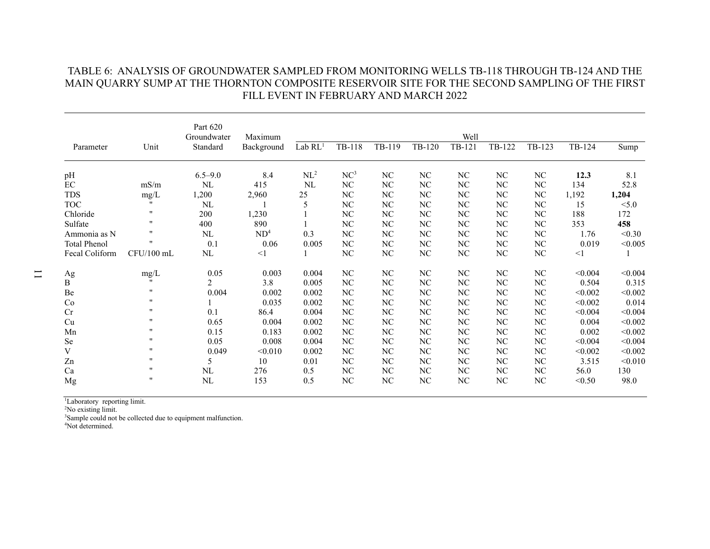|                     |                    | Part 620<br>Groundwater | Maximum         | Well            |                 |                  |        |          |        |          |          |         |  |
|---------------------|--------------------|-------------------------|-----------------|-----------------|-----------------|------------------|--------|----------|--------|----------|----------|---------|--|
| Parameter           | Unit               | Standard                | Background      | $Lab$ $RL1$     | TB-118          | TB-119           | TB-120 | TB-121   | TB-122 | TB-123   | TB-124   | Sump    |  |
| pH                  |                    | $6.5 - 9.0$             | 8.4             | NL <sup>2</sup> | NC <sup>3</sup> | $\rm NC$         | NC     | NC       | NC     | NC       | 12.3     | 8.1     |  |
| EC                  | mS/m               | $\rm NL$                | 415             | NL              | NC              | $\rm NC$         | NC     | NC       | NC     | $\rm NC$ | 134      | 52.8    |  |
| <b>TDS</b>          | $mg/L$             | 1,200                   | 2,960           | 25              | NC              | NC               | NC     | NC       | NC     | $\rm NC$ | 1,192    | 1,204   |  |
| <b>TOC</b>          | $\mathbf{H}$       | NL                      |                 | 5               | NC              | $\rm NC$         | NC     | NC       | NC     | NC       | 15       | < 5.0   |  |
| Chloride            | 11                 | 200                     | 1,230           |                 | NC              | NC               | NC     | NC       | NC     | NC       | 188      | 172     |  |
| Sulfate             | $^{\prime\prime}$  | 400                     | 890             |                 | NC              | $_{\mathrm{NC}}$ | NC     | NC       | NC     | NC       | 353      | 458     |  |
| Ammonia as N        | $\pmb{\mathsf{H}}$ | $\rm NL$                | ND <sup>4</sup> | 0.3             | NC              | $\rm NC$         | NC     | NC       | NC     | $\rm NC$ | 1.76     | < 0.30  |  |
| <b>Total Phenol</b> | $\pmb{\mathsf{H}}$ | 0.1                     | 0.06            | 0.005           | NC              | NC               | NC     | NC       | NC     | NC       | 0.019    | < 0.005 |  |
| Fecal Coliform      | CFU/100 mL         | NL                      | $\leq$ 1        |                 | NC              | NC               | NC     | NC       | NC     | NC       | $\leq$ 1 |         |  |
| Ag                  | $mg/L$             | 0.05                    | 0.003           | 0.004           | NC              | $\rm NC$         | NC     | NC       | NC     | NC       | < 0.004  | < 0.004 |  |
| B                   | $\bullet$          | $\overline{2}$          | 3.8             | 0.005           | N <sub>C</sub>  | NC               | NC     | NC       | NC     | NC       | 0.504    | 0.315   |  |
| Be                  | $^{\prime\prime}$  | 0.004                   | 0.002           | 0.002           | NC              | NC               | NC     | NC       | NC     | NC       | < 0.002  | < 0.002 |  |
| Co                  | $^{\prime\prime}$  |                         | 0.035           | 0.002           | NC              | NC               | NC     | NC       | NC     | NC       | < 0.002  | 0.014   |  |
| Cr                  | $^{\prime\prime}$  | 0.1                     | 86.4            | 0.004           | NC              | NC               | NC     | NC       | NC     | NC       | < 0.004  | < 0.004 |  |
| Cu                  | $^{\prime\prime}$  | 0.65                    | 0.004           | 0.002           | NC              | $\rm NC$         | NC     | NC       | NC     | NC       | 0.004    | < 0.002 |  |
| Mn                  | $^{\prime\prime}$  | 0.15                    | 0.183           | 0.002           | NC              | $\rm NC$         | NC     | NC       | NC     | NC       | 0.002    | < 0.002 |  |
| Se                  | $\pmb{\mathsf{H}}$ | 0.05                    | 0.008           | 0.004           | $\rm NC$        | $\rm NC$         | NC     | NC       | NC     | $\rm NC$ | < 0.004  | < 0.004 |  |
| V                   | $^{\prime\prime}$  | 0.049                   | < 0.010         | 0.002           | NC              | $\rm NC$         | NC     | NC       | NC     | NC       | < 0.002  | < 0.002 |  |
| Zn                  | $^{\prime\prime}$  | 5                       | 10              | 0.01            | NC              | NC               | NC     | NC       | NC     | NC       | 3.515    | < 0.010 |  |
| Ca                  | $\pmb{\mathsf{H}}$ | NL                      | 276             | 0.5             | $\rm NC$        | $\rm NC$         | NC     | NC       | NC     | $\rm NC$ | 56.0     | 130     |  |
| Mg                  | $^{\prime\prime}$  | NL                      | 153             | 0.5             | NC              | $\rm NC$         | NC     | $\rm NC$ | NC     | $\rm NC$ | < 0.50   | 98.0    |  |

## TABLE 6: ANALYSIS OF GROUNDWATER SAMPLED FROM MONITORING WELLS TB-118 THROUGH TB-124 AND THE MAIN QUARRY SUMP AT THE THORNTON COMPOSITE RESERVOIR SITE FOR THE SECOND SAMPLING OF THE FIRST FILL EVENT IN FEBRUARY AND MARCH 2022

<sup>1</sup>Laboratory reporting limit.

<sup>2</sup>No existing limit.

<sup>3</sup>Sample could not be collected due to equipment malfunction.

<sup>4</sup>Not determined.